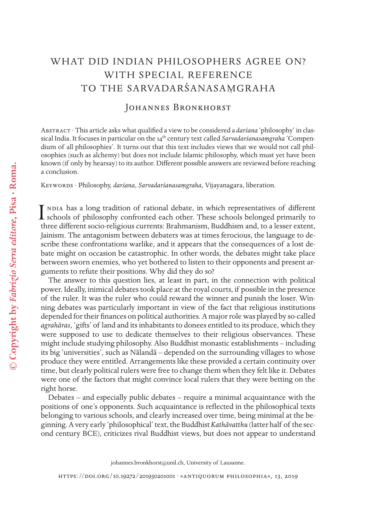# WHAT DID INDIAN PHILOSOPHERS AGREE ON? WITH SPECIAL REFERENCE TO THE SARVADARŚANASAMGRAHA

# JOHANNES BRONKHORST

Abstract · This article asks what qualifed a view to be considered a *darśana* 'philosophy' in classical India. It focuses in particular on the 14th century text called *Sarvadarśanasaṃgraha* 'Compendium of all philosophies'. It turns out that this text includes views that we would not call philosophies (such as alchemy) but does not include Islamic philosophy, which must yet have been known (if only by hearsay) to its author. Diferent possible answers are reviewed before reaching a conclusion.

Keywords · Philosophy, *darśana*, *Sarvadarśanasaṃgraha*, Vijayanagara, liberation.

ndia has a long tradition of rational debate, in which representatives of different I NDIA has a long tradition of rational debate, in which representatives of different<br>schools of philosophy confronted each other. These schools belonged primarily to<br>three different socio religious numerity Problemation. three diferent socio-religious currents: Brahmanism, Buddhism and, to a lesser extent, Jainism. The antagonism between debaters was at times ferocious, the language to describe these confrontations warlike, and it appears that the consequences of a lost debate might on occasion be catastrophic. In other words, the debates might take place between sworn enemies, who yet bothered to listen to their opponents and present arguments to refute their positions. Why did they do so?

The answer to this question lies, at least in part, in the connection with political power. Ideally, inimical debates took place at the royal courts, if possible in the presence of the ruler. It was the ruler who could reward the winner and punish the loser. Winning debates was particularly important in view of the fact that religious institutions depended for their fnances on political authorities. A major role was played by so-called *agrahāras*, 'gifts' of land and its inhabitants to donees entitled to its produce, which they were supposed to use to dedicate themselves to their religious observances. These might include studying philosophy. Also Buddhist monastic establishments – including its big 'universities', such as Nālandā – depended on the surrounding villages to whose produce they were entitled. Arrangements like these provided a certain continuity over time, but clearly political rulers were free to change them when they felt like it. Debates were one of the factors that might convince local rulers that they were betting on the right horse.

Debates – and especially public debates – require a minimal acquaintance with the positions of one's opponents. Such acquaintance is refected in the philosophical texts belonging to various schools, and clearly increased over time, being minimal at the beginning. A very early 'philosophical' text, the Buddhist *Kathāvatthu* (latter half of the second century BCE), criticizes rival Buddhist views, but does not appear to understand

johannes.bronkhorst@unil.ch, University of Lausanne.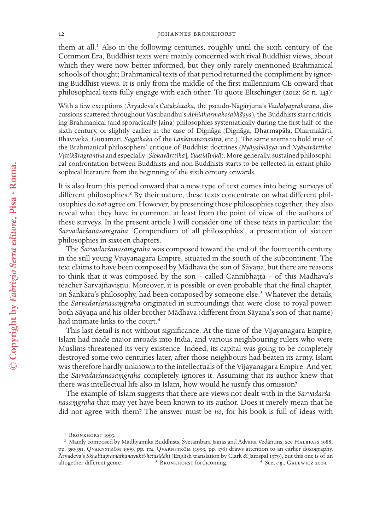#### 12 JOHANNES BRONKHORST

them at all.<sup>1</sup> Also in the following centuries, roughly until the sixth century of the Common Era, Buddhist texts were mainly concerned with rival Buddhist views, about which they were now better informed, but they only rarely mentioned Brahmanical schools of thought; Brahmanical texts of that period returned the compliment by ignoring Buddhist views. It is only from the middle of the frst millennium CE onward that philosophical texts fully engage with each other. To quote Eltschinger (2012: 60 n. 143):

With a few exceptions (Āryadeva's *Catuḥśataka*, the pseudo-Nāgārjuna's *Vaidalyaprakaraṇa*, discussions scattered throughout Vasubandhu's *Abhidharmakośabhāṣya*), the Buddhists start criticising Brahmanical (and sporadically Jaina) philosophies systematically during the frst half of the sixth century, or slightly earlier in the case of Dignāga (Dignāga, Dharmapāla, Dharmakīrti, Bhāviveka, Guṇamati, *Sagāthaka* of the *Laṅkāvatārasūtra*, etc.). The same seems to hold true of the Brahmanical philosophers' critique of Buddhist doctrines (*Nyāyabhāṣya* and *Nyāyavārttika*, *Vṛttikāragrantha* and especially [*Ślokavārttika*], *Yuktidīpikā*). More generally, sustained philosophical confrontation between Buddhists and non-Buddhists starts to be refected in extant philosophical literature from the beginning of the sixth century onwards.

It is also from this period onward that a new type of text comes into being: surveys of different philosophies.<sup>2</sup> By their nature, these texts concentrate on what different philosophies do *not* agree on. However, by presenting those philosophies together, they also reveal what they have in common, at least from the point of view of the authors of these surveys. In the present article I will consider one of these texts in particular: the *Sarvadarśanasaṃgraha* 'Compendium of all philosophies', a presentation of sixteen philosophies in sixteen chapters.

The *Sarvadarśanasaṃgraha* was composed toward the end of the fourteenth century, in the still young Vijayanagara Empire, situated in the south of the subcontinent. The text claims to have been composed by Mādhava the son of Sāyaṇa, but there are reasons to think that it was composed by the son – called Cannibhaṭṭa – of this Mādhava's teacher Sarvajñaviṣṇu. Moreover, it is possible or even probable that the fnal chapter, on Śaṅkara's philosophy, had been composed by someone else.<sup>3</sup> Whatever the details, the *Sarvadarśanasaṃgraha* originated in surroundings that were close to royal power: both Sāyaṇa and his older brother Mādhava (diferent from Sāyaṇa's son of that name) had intimate links to the court.<sup>4</sup>

This last detail is not without signifcance. At the time of the Vijayanagara Empire, Islam had made major inroads into India, and various neighbouring rulers who were Muslims threatened its very existence. Indeed, its capital was going to be completely destroyed some two centuries later, after those neighbours had beaten its army. Islam was therefore hardly unknown to the intellectuals of the Vijayanagara Empire. And yet, the *Sarvadarśanasaṃgraha* completely ignores it. Assuming that its author knew that there was intellectual life also in Islam, how would he justify this omission?

The example of Islam suggests that there are views not dealt with in the *Sarvadarśa nasaṃgraha* that may yet have been known to its author. Does it merely mean that he did not agree with them? The answer must be *no*, for his book is full of ideas with

<sup>&</sup>lt;sup>1</sup> BRONKHORST 1993.

<sup>&</sup>lt;sup>2</sup> Mainly composed by Mādhyamika Buddhists, Śvetāmbara Jainas and Advaita Vedāntins; see HALBFASS 1988, pp. 350-351, Qvarnström 1999, pp. 174. Qvarnström (1999, pp. 176) draws attention to an earlier doxography, Āryadeva's *Skhalitapramathanayukti-hetusiddhi* (English translation by Clark & Jamspal 1979), but this one is of an altogether different genre. <sup>3</sup> BRONKHORST forthcoming. <sup>4</sup> See, *e.g.*, GALEWICZ 2009.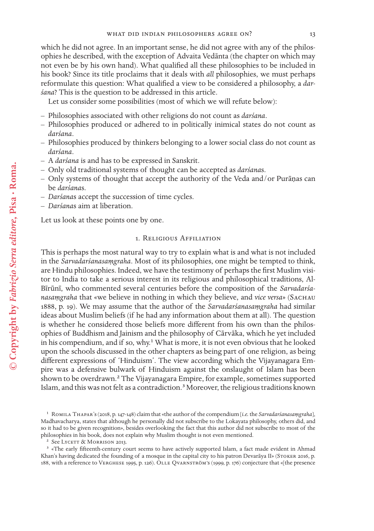which he did not agree. In an important sense, he did not agree with any of the philosophies he described, with the exception of Advaita Vedānta (the chapter on which may not even be by his own hand). What qualifed all these philosophies to be included in his book? Since its title proclaims that it deals with *all* philosophies, we must perhaps reformulate this question: What qualifed a view to be considered a philosophy, a *dar śana*? This is the question to be addressed in this article.

Let us consider some possibilities (most of which we will refute below):

- Philosophies associated with other religions do not count as *darśana*.
- Philosophies produced or adhered to in politically inimical states do not count as *darśana*.
- Philosophies produced by thinkers belonging to a lower social class do not count as *darśana*.
- A *darśana* is and has to be expressed in Sanskrit.
- Only old traditional systems of thought can be accepted as *darśana*s.
- Only systems of thought that accept the authority of the Veda and/or Purāṇas can be *darśana*s.
- *Darśana*s accept the succession of time cycles.
- *Darśana*s aim at liberation.

Let us look at these points one by one.

## 1. Religious Affiliation

This is perhaps the most natural way to try to explain what is and what is not included in the *Sarvadarśanasaṃgraha*. Most of its philosophies, one might be tempted to think, are Hindu philosophies. Indeed, we have the testimony of perhaps the frst Muslim visitor to India to take a serious interest in its religious and philosophical traditions, Al-Bīrūnī, who commented several centuries before the composition of the *Sarvadarśa nasaṃgraha* that «we believe in nothing in which they believe, and *vice versa*» (Sachau 1888, p. 19). We may assume that the author of the *Sarvadarśanasaṃgraha* had similar ideas about Muslim beliefs (if he had any information about them at all). The question is whether he considered those beliefs more diferent from his own than the philosophies of Buddhism and Jainism and the philosophy of Cārvāka, which he yet included in his compendium, and if so, why.<sup>1</sup> What is more, it is not even obvious that he looked upon the schools discussed in the other chapters as being part of one religion, as being diferent expressions of 'Hinduism'. The view according which the Vijayanagara Empire was a defensive bulwark of Hinduism against the onslaught of Islam has been shown to be overdrawn.2 The Vijayanagara Empire, for example, sometimes supported Islam, and this was not felt as a contradiction.<sup>3</sup> Moreover, the religious traditions known

<sup>1</sup> Romila Thapar's (2018, p. 147-148) claim that «the author of the compendium [*i.e.* the *Sarvadarśanasaṃgraha*], Madhavacharya, states that although he personally did not subscribe to the Lokayata philosophy, others did, and so it had to be given recognition», besides overlooking the fact that this author did not subscribe to most of the philosophies in his book, does not explain why Muslim thought is not even mentioned.

<sup>&</sup>lt;sup>2</sup> See LYCETT & MORRISON 2013.

<sup>3 «</sup>The early ffteenth-century court seems to have actively supported Islam, a fact made evident in Ahmad Khan's having dedicated the founding of a mosque in the capital city to his patron Devarāya II» (Stoker 2016, p. 188, with a reference to Verghese 1995, p. 126). Olle Qvarnström's (1999, p. 176) conjecture that «[the presence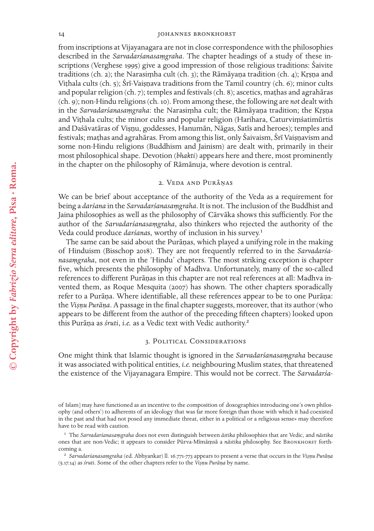#### 14 JOHANNES BRONKHORST

from inscriptions at Vijayanagara are not in close correspondence with the philosophies described in the *Sarvadarśanasaṃgraha*. The chapter headings of a study of these inscriptions (Verghese 1995) give a good impression of those religious traditions: Śaivite traditions (ch. 2); the Narasiṃha cult (ch. 3); the Rāmāyaṇa tradition (ch. 4); Kṛṣṇa and Viṭhala cults (ch. 5); Śrī-Vaiṣṇava traditions from the Tamil country (ch. 6); minor cults and popular religion (ch. 7); temples and festivals (ch. 8); ascetics, maṭhas and agrahāras (ch. 9); non-Hindu religions (ch. 10). From among these, the following are *not* dealt with in the *Sarvadarśanasaṃgraha*: the Narasiṃha cult; the Rāmāyaṇa tradition; the Kṛṣṇa and Viṭhala cults; the minor cults and popular religion (Harihara, Caturviṃśatimūrtis and Daśāvatāras of Viṣṇu, goddesses, Hanumān, Nāgas, Satīs and heroes); temples and festivals; maṭhas and agrahāras. From among this list, only Śaivaism, Śrī Vaiṣṇavism and some non-Hindu religions (Buddhism and Jainism) are dealt with, primarily in their most philosophical shape. Devotion (*bhakti*) appears here and there, most prominently in the chapter on the philosophy of Rāmānuja, where devotion is central.

# 2. Veda and Purāṇas

We can be brief about acceptance of the authority of the Veda as a requirement for being a *darśana* in the *Sarvadarśanasaṃgraha*. It is not. The inclusion of the Buddhist and Jaina philosophies as well as the philosophy of Cārvāka shows this sufficiently. For the author of the *Sarvadarśanasaṃgraha*, also thinkers who rejected the authority of the Veda could produce *darśanas*, worthy of inclusion in his survey.<sup>1</sup>

The same can be said about the Purāṇas, which played a unifying role in the making of Hinduism (Bisschop 2018). They are not frequently referred to in the *Sarvadarśa nasaṃgraha*, not even in the 'Hindu' chapters. The most striking exception is chapter fve, which presents the philosophy of Madhva. Unfortunately, many of the so-called references to diferent Purāṇas in this chapter are not real references at all: Madhva invented them, as Roque Mesquita (2007) has shown. The other chapters sporadically refer to a Purāṇa. Where identifable, all these references appear to be to one Purāṇa: the *Viṣṇu Purāṇa*. A passage in the fnal chapter suggests, moreover, that its author (who appears to be diferent from the author of the preceding ffteen chapters) looked upon this Purāṇa as *śruti*, *i.e.* as a Vedic text with Vedic authority.2

#### 3. Political Considerations

One might think that Islamic thought is ignored in the *Sarvadarśanasaṃgraha* because it was associated with political entities, *i.e.* neighbouring Muslim states, that threatened the existence of the Vijayanagara Empire. This would not be correct. The *Sarvadarśa -*

of Islam] may have functioned as an incentive to the composition of doxographies introducing one's own philosophy (and others') to adherents of an ideology that was far more foreign than those with which it had coexisted in the past and that had not posed any immediate threat, either in a political or a religious sense» may therefore have to be read with caution.

<sup>1</sup> The *Sarvadarśanasaṃgraha* does not even distinguish between *āstika* philosophies that are Vedic, and *nāstika* ones that are non-Vedic; it appears to consider Pūrva-Mīmāṃsā a *nāstika* philosophy. See Bronkhorst forthcoming a.

<sup>2</sup> *Sarvadarśanasaṃgraha* (ed. Abhyankar) ll. 16.771-773 appears to present a verse that occurs in the *Viṣṇu Purāṇa* (5.17.14) as *śruti*. Some of the other chapters refer to the *Viṣṇu Purāṇa* by name.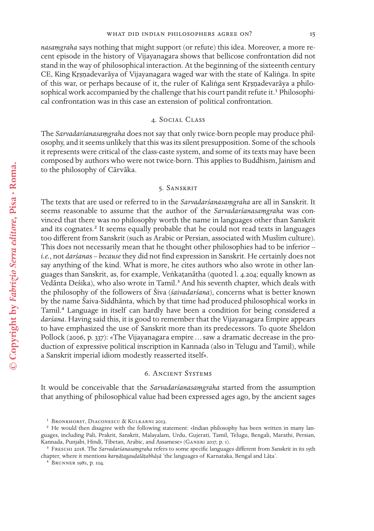*nasaṃgraha* says nothing that might support (or refute) this idea. Moreover, a more recent episode in the history of Vijayanagara shows that bellicose confrontation did not stand in the way of philosophical interaction. At the beginning of the sixteenth century CE, King Kṛṣṇadevarāya of Vijayanagara waged war with the state of Kaliṅga. In spite of this war, or perhaps because of it, the ruler of Kaliṅga sent Kṛṣṇadevarāya a philosophical work accompanied by the challenge that his court pandit refute it.<sup>1</sup> Philosophical confrontation was in this case an extension of political confrontation.

## 4. Social Class

The *Sarvadarśanasaṃgraha* does not say that only twice-born people may produce philosophy, and it seems unlikely that this was its silent presupposition. Some of the schools it represents were critical of the class-caste system, and some of its texts may have been composed by authors who were not twice-born. This applies to Buddhism, Jainism and to the philosophy of Cārvāka.

## 5. Sanskrit

The texts that are used or referred to in the *Sarvadarśanasaṃgraha* are all in Sanskrit. It seems reasonable to assume that the author of the *Sarvadarśanasaṃgraha* was convinced that there was no philosophy worth the name in languages other than Sanskrit and its cognates.<sup>2</sup> It seems equally probable that he could not read texts in languages too diferent from Sanskrit (such as Arabic or Persian, associated with Muslim culture). This does not necessarily mean that he thought other philosophies had to be inferior – *i.e.*, not *darśana*s – *because* they did not fnd expression in Sanskrit. He certainly does not say anything of the kind. What is more, he cites authors who also wrote in other languages than Sanskrit, as, for example, Veṅkaṭanātha (quoted l. 4.204; equally known as Vedānta Deśika), who also wrote in Tamil.<sup>3</sup> And his seventh chapter, which deals with the philosophy of the followers of Śiva (*śaivadarśana*), concerns what is better known by the name Śaiva-Siddhānta, which by that time had produced philosophical works in Tamil.4 Language in itself can hardly have been a condition for being considered a *darśana*. Having said this, it is good to remember that the Vijayanagara Empire appears to have emphasized the use of Sanskrit more than its predecessors. To quote Sheldon Pollock (2006, p. 337): «The Vijayanagara empire…saw a dramatic decrease in the production of expressive political inscription in Kannada (also in Telugu and Tamil), while a Sanskrit imperial idiom modestly reasserted itself».

## 6. Ancient Systems

It would be conceivable that the *Sarvadarśanasaṃgraha* started from the assumption that anything of philosophical value had been expressed ages ago, by the ancient sages

<sup>&</sup>lt;sup>1</sup> BRONKHORST, DIACONESCU & KULKARNI 2013.

<sup>&</sup>lt;sup>2</sup> He would then disagree with the following statement: «Indian philosophy has been written in many languages, including Pali, Prakrit, Sanskrit, Malayalam, Urdu, Gujerati, Tamil, Telugu, Bengali, Marathi, Persian, Kannada, Punjabi, Hindi, Tibetan, Arabic, and Assamese» (GANERI 2017, p. 1).

<sup>3</sup> Freschi 2018. The *Sarvadarśanasaṃgraha* refers to some specifc languages diferent from Sanskrit in its 15th chapter, where it mentions *karṇāṭagauḍalāṭabhāṣā* 'the languages of Karnataka, Bengal and Lāṭa'.

<sup>4</sup> Brunner 1981, p. 104.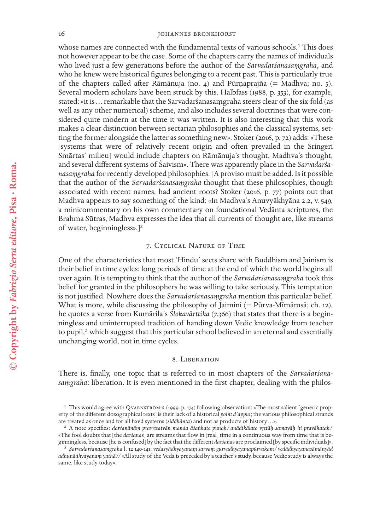## 16 JOHANNES BRONKHORST

whose names are connected with the fundamental texts of various schools.<sup>1</sup> This does not however appear to be the case. Some of the chapters carry the names of individuals who lived just a few generations before the author of the *Sarvadarśanasaṃgraha*, and who he knew were historical fgures belonging to a recent past. This is particularly true of the chapters called after Rāmānuja (no. 4) and Pūrṇaprajña (= Madhva; no. 5). Several modern scholars have been struck by this. Halbfass (1988, p. 353), for example, stated: «it is … remarkable that the Sarvadarśanasaṃgraha steers clear of the six-fold (as well as any other numerical) scheme, and also includes several doctrines that were considered quite modern at the time it was written. It is also interesting that this work makes a clear distinction between sectarian philosophies and the classical systems, setting the former alongside the latter as something new». Stoker (2016, p. 72) adds: «These [systems that were of relatively recent origin and often prevailed in the Sringeri Smārtas' milieu] would include chapters on Rāmānuja's thought, Madhva's thought, and several diferent systems of Śaivism». There was apparently place in the *Sarvadarśa nasaṃgraha* for recently developed philosophies. [A proviso must be added. Is it possible that the author of the *Sarvadarśanasaṃgraha* thought that these philosophies, though associated with recent names, had ancient roots? Stoker (2016, p. 77) points out that Madhva appears to say something of the kind: «In Madhva's Anuvyākhyāna 2.2, v. 549, a minicommentary on his own commentary on foundational Vedānta scriptures, the Brahma Sūtras, Madhva expresses the idea that all currents of thought are, like streams of water, beginningless».]2

# 7. Cyclical Nature of Time

One of the characteristics that most 'Hindu' sects share with Buddhism and Jainism is their belief in time cycles: long periods of time at the end of which the world begins all over again. It is tempting to think that the author of the *Sarvadarśanasaṃgraha* took this belief for granted in the philosophers he was willing to take seriously. This temptation is not justifed. Nowhere does the *Sarvadarśanasaṃgraha* mention this particular belief. What is more, while discussing the philosophy of Jaimini (= Pūrva-Mīmāṃsā; ch. 12), he quotes a verse from Kumārila's *Ślokavārttika* (7.366) that states that there is a beginningless and uninterrupted tradition of handing down Vedic knowledge from teacher to pupil,<sup>3</sup> which suggest that this particular school believed in an eternal and essentially unchanging world, not in time cycles.

#### 8. Liberation

There is, fnally, one topic that is referred to in most chapters of the *Sarvadarśana saṃgraha*: liberation. It is even mentioned in the frst chapter, dealing with the philos-

<sup>1</sup> This would agree with Qvarnström's (1999, p. 174) following observation: «The most salient [generic property of the diferent doxographical texts] is their lack of a historical *point d'appui*; the various philosophical strands are treated as once and for all fxed systems (*siddhānta*) and not as products of history…».

<sup>2</sup> A note specifes: *darśanānāṃ pravṛttatvān manda āśaṅkate punaḥ/ anādikālato vṛttāḥ samayāḥ hi pravāhataḥ*/ «The fool doubts that [the *darśana*s] are streams that fow in [real] time in a continuous way from time that is beginningless, because [he is confused] by the fact that the diferent *darśana*s are proclaimed [by specifc individuals]».

<sup>3</sup> *Sarvadarśanasaṃgraha* l. 12 140-141: *vedasyādhyayanaṃ sarvaṃ gurvadhyayanapūrvakam/ vedādhyayanasāmānyād adhunādhyayanaṃ yathā//* «All study of the Veda is preceded by a teacher's study, because Vedic study is always the same, like study today».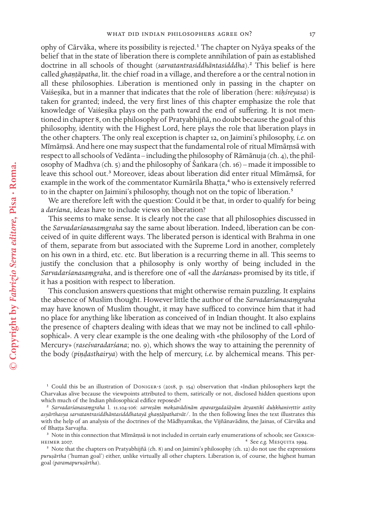ophy of Cārvāka, where its possibility is rejected.1 The chapter on Nyāya speaks of the belief that in the state of liberation there is complete annihilation of pain as established doctrine in all schools of thought (*sarvatantrasiddhāntasidddha*).2 This belief is here called *ghaṇṭāpatha*, lit. the chief road in a village, and therefore a or the central notion in all these philosophies. Liberation is mentioned only in passing in the chapter on Vaiśeṣika, but in a manner that indicates that the role of liberation (here: *nihśreyasa*) is taken for granted; indeed, the very frst lines of this chapter emphasize the role that knowledge of Vaiśeṣika plays on the path toward the end of sufering. It is not mentioned in chapter 8, on the philosophy of Pratyabhijñā, no doubt because the goal of this philosophy, identity with the Highest Lord, here plays the role that liberation plays in the other chapters. The only real exception is chapter 12, on Jaimini's philosophy, *i.e.* on Mīmāṃsā. And here one may suspect that the fundamental role of ritual Mīmāṃsā with respect to all schools of Vedānta – including the philosophy of Rāmānuja (ch. 4), the philosophy of Madhva (ch. 5) and the philosophy of Śaṅkara (ch. 16) – made it impossible to leave this school out.3 Moreover, ideas about liberation did enter ritual Mīmāṃsā, for example in the work of the commentator Kumārila Bhaṭṭa,<sup>4</sup> who is extensively referred to in the chapter on Jaimini's philosophy, though not on the topic of liberation.<sup>5</sup>

We are therefore left with the question: Could it be that, in order to qualify for being a *darśana*, ideas have to include views on liberation?

This seems to make sense. It is clearly not the case that all philosophies discussed in the *Sarvadarśanasaṃgraha* say the same about liberation. Indeed, liberation can be conceived of in quite diferent ways. The liberated person is identical with Brahma in one of them, separate from but associated with the Supreme Lord in another, completely on his own in a third, etc. etc. But liberation is a recurring theme in all. This seems to justify the conclusion that a philosophy is only worthy of being included in the *Sarvadarśanasaṃgraha*, and is therefore one of «all the *darśana*s» promised by its title, if it has a position with respect to liberation.

This conclusion answers questions that might otherwise remain puzzling. It explains the absence of Muslim thought. However little the author of the *Sarvadarśanasaṃgraha* may have known of Muslim thought, it may have sufficed to convince him that it had no place for anything like liberation as conceived of in Indian thought. It also explains the presence of chapters dealing with ideas that we may not be inclined to call «philosophical». A very clear example is the one dealing with «the philosophy of the Lord of Mercury» (*raseśvaradarśana*; no. 9), which shows the way to attaining the perennity of the body (*piṇḍasthairya*) with the help of mercury, *i.e.* by alchemical means. This per-

1 Could this be an illustration of Doniger's (2018, p. 154) observation that «Indian philosophers kept the Charvakas alive because the viewpoints attributed to them, satirically or not, disclosed hidden questions upon which much of the Indian philosophical edifce reposed»?

<sup>2</sup> *Sarvadarśanasaṃgraha* l. 11.104-106: *sarveṣāṃ mokṣavādinām apavargadaśāyām ātyantikī duḥkhanivṛttir astīty asyārthasya sarvatantrasiddhāntasidddhatayā ghaṇṭāpathatvāt/*. In the then following lines the text illustrates this with the help of an analysis of the doctrines of the Mādhyamikas, the Vijñānavādins, the Jainas, of Cārvāka and of Bhaṭṭa Sarvajña.

<sup>&</sup>lt;sup>3</sup> Note in this connection that Mīmāṃsā is not included in certain early enumerations of schools; see GERSCHheimer 2007. 4 See *e.g.* Mesquita 1994.

<sup>5</sup> Note that the chapters on Pratyabhijñā (ch. 8) and on Jaimini's philosophy (ch. 12) do not use the expressions *puruṣārtha* ('human goal') either, unlike virtually all other chapters. Liberation is, of course, the highest human goal (*paramapuruṣārtha*).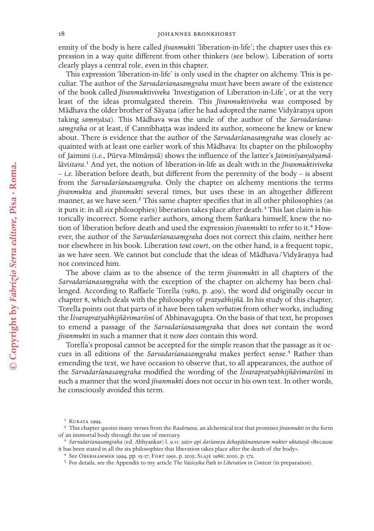ennity of the body is here called *jīvanmukti* 'liberation-in-life'; the chapter uses this expression in a way quite diferent from other thinkers (see below). Liberation of sorts clearly plays a central role, even in this chapter.

This expression 'liberation-in-life' is only used in the chapter on alchemy. This is peculiar. The author of the *Sarvadarśanasaṃgraha* must have been aware of the existence of the book called *Jīvanmuktiviveka* 'Investigation of Liberation-in-Life', or at the very least of the ideas promulgated therein. This *Jīvanmuktiviveka* was composed by Mādhava the older brother of Sāyaṇa (after he had adopted the name Vidyāraṇya upon taking *saṃnyāsa*). This Mādhava was the uncle of the author of the *Sarvadarśana saṃgraha* or at least, if Cannibhaṭṭa was indeed its author, someone he knew or knew about. There is evidence that the author of the *Sarvadarśanasaṃgraha* was closely acquainted with at least one earlier work of this Mādhava: Its chapter on the philosophy of Jaimini (*i.e.*, Pūrva-Mīmāṃsā) shows the infuence of the latter's *Jaiminīyanyāyamā lāvistara*.1 And yet, the notion of liberation-in-life as dealt with in the *Jīvanmuktiviveka* – *i.e.* liberation before death, but diferent from the perennity of the body – is absent from the *Sarvadarśanasaṃgraha*. Only the chapter on alchemy mentions the terms *jīvanmukta* and *jīvanmukti* several times, but uses these in an altogether diferent manner, as we have seen.<sup>2</sup> This same chapter specifies that in all other philosophies (as it puts it: in all *six* philosophies) liberation takes place after death.<sup>3</sup> This last claim is historically incorrect. Some earlier authors, among them Śaṅkara himself, knew the notion of liberation before death and used the expression *jīvanmukti* to refer to it.<sup>4</sup> However, the author of the *Sarvadarśanasaṃgraha* does not correct this claim, neither here nor elsewhere in his book. Liberation *tout court*, on the other hand, is a frequent topic, as we have seen. We cannot but conclude that the ideas of Mādhava/Vidyāraṇya had not convinced him.

The above claim as to the absence of the term *jīvanmukti* in all chapters of the *Sarvadarśanasaṃgraha* with the exception of the chapter on alchemy has been challenged. According to Rafaele Torella (1980, p. 409), the word did originally occur in chapter 8, which deals with the philosophy of *pratyabhijñā*. In his study of this chapter, Torella points out that parts of it have been taken *verbatim* from other works, including the *Īśvarapratyabhijñāvimarśinī* of Abhinavagupta. On the basis of that text, he proposes to emend a passage of the *Sarvadarśanasaṃgraha* that does *not* contain the word *jīvanmukti* in such a manner that it now *does* contain this word.

Torella's proposal cannot be accepted for the simple reason that the passage as it occurs in all editions of the *Sarvadarśanasaṃgraha* makes perfect sense.<sup>5</sup> Rather than emending the text, we have occasion to observe that, to all appearances, the author of the *Sarvadarśanasaṃgraha* modifed the wording of the *Īśvarapratyabhijñāvimarśinī* in such a manner that the word *jīvanmukti* does not occur in his own text. In other words, he consciously avoided this term.

5 For details, see the Appendix to my article *The Vaiśeṣika Path to Liberation in Context* (in preparation).

 $1$  KURATA 1994.

<sup>2</sup> This chapter quotes many verses from the *Rasārṇava*, an alchemical text that promises *jīvanmukti* in the form of an immortal body through the use of mercury.

<sup>3</sup> *Sarvadarśanasaṃgraha* (ed. Abhyankar) l. 9.11: *ṣaṭsv api darśaneṣu dehapātānantaraṃ mukter uktatayā* «Because it has been stated in all the six philosophies that liberation takes place after the death of the body».

<sup>4</sup> See Oberhammer 1994, pp. 15-17; Fort 1991, p. 2015; Slaje 1986; 2000, p. 172.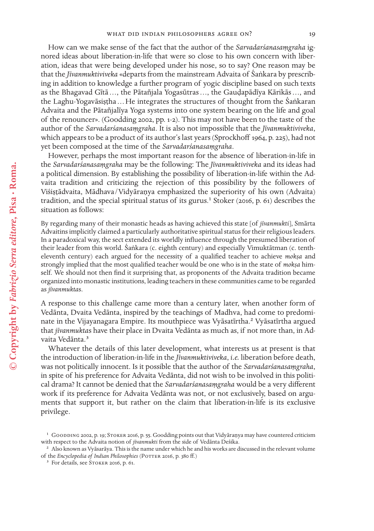How can we make sense of the fact that the author of the *Sarvadarśanasaṃgraha* ignored ideas about liberation-in-life that were so close to his own concern with liberation, ideas that were being developed under his nose, so to say? One reason may be that the *Jīvanmuktiviveka* «departs from the mainstream Advaita of Śaṅkara by prescribing in addition to knowledge a further program of yogic discipline based on such texts as the Bhagavad Gītā …, the Pātañjala Yogasūtras …, the Gauḍapādīya Kārikās …, and the Laghu-Yogavāsiṣṭha … He integrates the structures of thought from the Śaṅkaran Advaita and the Pātañjalīya Yoga systems into one system bearing on the life and goal of the renouncer». (Goodding 2002, pp. 1-2). This may not have been to the taste of the author of the *Sarvadarśanasaṃgraha*. It is also not impossible that the *Jīvanmuktiviveka*, which appears to be a product of its author's last years (Sprockhoff 1964, p. 225), had not yet been composed at the time of the *Sarvadarśanasaṃgraha*.

However, perhaps the most important reason for the absence of liberation-in-life in the *Sarvadarśanasaṃgraha* may be the following: The *Jīvanmuktiviveka* and its ideas had a political dimension. By establishing the possibility of liberation-in-life within the Advaita tradition and criticizing the rejection of this possibility by the followers of Viśiṣṭādvaita, Mādhava/Vidyāraṇya emphasized the superiority of his own (Advaita) tradition, and the special spiritual status of its gurus.<sup>1</sup> Stoker (2016, p. 61) describes the situation as follows:

By regarding many of their monastic heads as having achieved this state [of *jīvanmukti*], Smārta Advaitins implicitly claimed a particularly authoritative spiritual status for their religious leaders. In a paradoxical way, the sect extended its worldly infuence through the presumed liberation of their leader from this world. Śaṅkara (c. eighth century) and especially Vimuktātman (c. tentheleventh century) each argued for the necessity of a qualifed teacher to achieve *mokṣa* and strongly implied that the most qualifed teacher would be one who is in the state of *mokṣa* himself. We should not then fnd it surprising that, as proponents of the Advaita tradition became organized into monastic institutions, leading teachers in these communities came to be regarded as *jīvanmukta*s.

A response to this challenge came more than a century later, when another form of Vedānta, Dvaita Vedānta, inspired by the teachings of Madhva, had come to predominate in the Vijayanagara Empire. Its mouthpiece was Vyāsatīrtha.<sup>2</sup> Vyāsatīrtha argued that *jīvanmukta*s have their place in Dvaita Vedānta as much as, if not more than, in Advaita Vedānta.3

Whatever the details of this later development, what interests us at present is that the introduction of liberation-in-life in the *Jīvanmuktiviveka*, *i.e.* liberation before death, was not politically innocent. Is it possible that the author of the *Sarvadarśanasaṃgraha*, in spite of his preference for Advaita Vedānta, did not wish to be involved in this political drama? It cannot be denied that the *Sarvadarśanasaṃgraha* would be a very diferent work if its preference for Advaita Vedānta was not, or not exclusively, based on arguments that support it, but rather on the claim that liberation-in-life is its exclusive privilege.

<sup>&</sup>lt;sup>1</sup> Goodding 2002, p. 19; STOKER 2016, p. 55. Goodding points out that Vidyāraṇya may have countered criticism with respect to the Advaita notion of *jīvanmukti* from the side of Vedānta Deśika.

<sup>2</sup> Also known as Vyāsarāya. This is the name under which he and his works are discussed in the relevant volume of the *Encyclopedia of Indian Philosophies* (POTTER 2016, p. 380 ff.)

<sup>&</sup>lt;sup>3</sup> For details, see STOKER 2016, p. 61.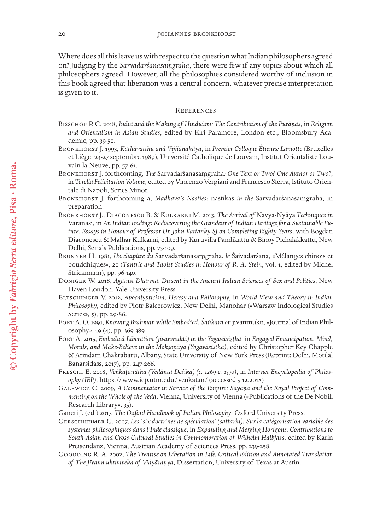Where does all this leave us with respect to the question what Indian philosophers agreed on? Judging by the *Sarvadarśanasaṃgraha*, there were few if any topics about which all philosophers agreed. However, all the philosophies considered worthy of inclusion in this book agreed that liberation was a central concern, whatever precise interpretation is given to it.

#### **REFERENCES**

- Bisschop P. C. 2018, *India and the Making of Hinduism: The Contribution of the Purāṇas*, in *Religion and Orientalism in Asian Studies*, edited by Kiri Paramore, London etc., Bloomsbury Academic, pp. 39-50.
- Bronkhorst J. 1993, *Kathāvatthu and Vijñānakāya*, in *Premier Colloque Étienne Lamotte* (Bruxelles et Liège, 24-27 septembre 1989), Université Catholique de Louvain, Institut Orientaliste Louvain-la-Neuve, pp. 57-61.
- Bronkhorst J. forthcoming, *The* Sarvadarśanasaṃgraha*: One Text or Two? One Author or Two?*, in *Torella Felicitation Volume*, edited by Vincenzo Vergiani and Francesco Sferra, Istituto Orientale di Napoli, Series Minor.
- Bronkhorst J. forthcoming a, *Mādhava's Nasties:* nāstikas *in the* Sarvadarśanasaṃgraha, in preparation.
- Bronkhorst J., Diaconescu B. & Kulkarni M. 2013, *The Arrival of* Navya-Nyāya *Techniques in* Varanasi, in *An Indian Ending: Rediscovering the Grandeur of Indian Heritage for a Sustainable Future. Essays in Honour of Professor Dr. John Vattanky SJ on Completing Eighty Years*, with Bogdan Diaconescu & Malhar Kulkarni, edited by Kuruvilla Pandikattu & Binoy Pichalakkattu, New Delhi, Serials Publications, pp. 73-109.
- Brunner H. 1981, *Un chapitre du* Sarvadarśanasaṃgraha*: le* Śaivadarśana, «Mélanges chinois et bouddhiques», 20 (*Tantric and Taoist Studies in Honour of R. A. Stein*, vol. 1, edited by Michel Strickmann), pp. 96-140.
- Doniger W. 2018, *Against Dharma. Dissent in the Ancient Indian Sciences of Sex and Politics*, New Haven-London, Yale University Press.
- Eltschinger V. 2012, *Apocalypticism, Heresy and Philosophy*, in *World View and Theory in Indian Philosophy*, edited by Piotr Balcerowicz, New Delhi, Manohar («Warsaw Indological Studies Series», 5), pp. 29-86.
- Fort A. O. 1991, *Knowing Brahman while Embodied: Śaṅkara on* jīvanmukti, «Journal of Indian Philosophy», 19 (4), pp. 369-389.
- Fort A. 2015, *Embodied Liberation (jīvanmukti) in the Yogavāsiṣṭha*, in *Engaged Emancipation. Mind, Morals, and Make-Believe in the Mokṣopāya (Yogavāsiṣṭha)*, edited by Christopher Key Chapple & Arindam Chakrabarti, Albany, State University of New York Press (Reprint: Delhi, Motilal Banarsidass, 2017), pp. 247-266.
- Freschi E. 2018, *Veṅkaṭanātha (Vedānta Deśika) (c. 1269-c. 1370)*, in *Internet Encyclopedia of Philosophy (IEP)*; https://www.iep.utm.edu/venkatan/ (accessed 5.12.2018)
- Galewicz C. 2009, *A Commentator in Service of the Empire: Sāyaṇa and the Royal Project of Commenting on the Whole of the Veda*, Vienna, University of Vienna («Publications of the De Nobili Research Library», 35).
- Ganeri J. (ed.) 2017, *The Oxford Handbook of Indian Philosophy*, Oxford University Press.
- Gerschheimer G. 2007, *Les 'six doctrines de spéculation' (ṣaṭtarkī): Sur la catégorisation variable des systèmes philosophiques dans l'Inde classique*, in *Expanding and Merging Horizons. Contributions to South-Asian and Cross-Cultural Studies in Commemoration of Wilhelm Halbfass*, edited by Karin Preisendanz, Vienna, Austrian Academy of Sciences Press, pp. 239-258.
- GOODDING R. A. 2002, *The Treatise on Liberation-in-Life. Critical Edition and Annotated Translation of The Jīvanmuktiviveka of Vidyāraṇya*, Dissertation, University of Texas at Austin.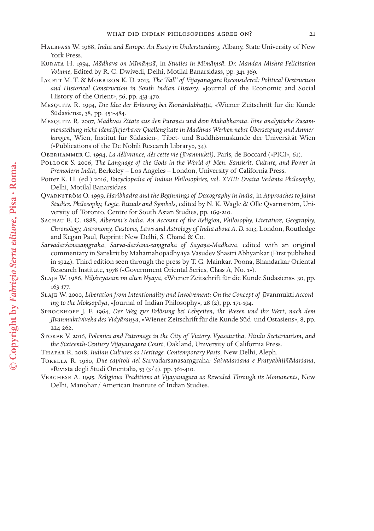- Halbfass W. 1988, *India and Europe. An Essay in Understanding*, Albany, State University of New York Press.
- Kurata H. 1994, *Mādhava on Mīmāṃsā*, in *Studies in Mīmāṃsā. Dr. Mandan Mishra Felicitation Volume*, Edited by R. C. Dwivedi, Delhi, Motilal Banarsidass, pp. 341-369.
- Lycett M. T. & Morrison K. D. 2013, *The 'Fall' of Vijayanagara Reconsidered: Political Destruction and Historical Construction in South Indian History*, «Journal of the Economic and Social History of the Orient», 56, pp. 433-470.
- Mesquita R. 1994, *Die Idee der Erlösung bei Kumārilabhaṭṭa*, «Wiener Zeitschrift für die Kunde Südasiens», 38, pp. 451-484.
- Mesquita R. 2007, *Madhvas Zitate aus den Purāṇas und dem Mahābhārata. Eine analytische Zusammenstellung nicht identifzierbarer Quellenzitate in Madhvas Werken nebst Übersetzung und Anmerkungen*, Wien, Institut für Südasien-, Tibet- und Buddhismuskunde der Universität Wien («Publications of the De Nobili Research Library», 34).
- Oberhammer G. 1994, *La délivrance, dès cette vie (jīvanmukti)*, Paris, de Boccard («PICI», 61).
- Pollock S. 2006, *The Language of the Gods in the World of Men. Sanskrit, Culture, and Power in Premodern India*, Berkeley – Los Angeles – London, University of California Press.
- Potter K. H. (ed.) 2016, *Encyclopedia of Indian Philosophies, vol. XVIII: Dvaita Vedānta Philosophy*, Delhi, Motilal Banarsidass.
- Qvarnström O. 1999, *Haribhadra and the Beginnings of Doxography in India*, in *Approaches to Jaina Studies. Philosophy, Logic, Rituals and Symbols*, edited by N. K. Wagle & Olle Qvarnström, University of Toronto, Centre for South Asian Studies, pp. 169-210.
- Sachau E. C. 1888, *Alberuni's India. An Account of the Religion, Philosophy, Literature, Geography, Chronology, Astronomy, Customs, Laws and Astrology of India about A. D. 1013*, London, Routledge and Kegan Paul, Reprint: New Delhi, S. Chand & Co.
- *Sarvadarśanasaṃgraha*, *Sarva-darśana-saṃgraha of Sāyaṇa-Mādhava*, edited with an original commentary in Sanskrit by Mahāmahopādhyāya Vasudev Shastri Abhyankar (First published in 1924). Third edition seen through the press by T. G. Mainkar. Poona, Bhandarkar Oriental Research Institute, 1978 («Government Oriental Series, Class A, No. 1»).
- Slaje W. 1986, *Niḥśreyasam im alten Nyāya*, «Wiener Zeitschrift für die Kunde Südasiens», 30, pp. 163-177.
- SLAJE W. 2000, Liberation from Intentionality and Involvement: On the Concept of jīvanmukti Accord*ing to the Mokṣopāya*, «Journal of Indian Philosophy», 28 (2), pp. 171-194.
- Sprockhoff J. F. 1964, *Der Weg zur Erlösung bei Lebzeiten, ihr Wesen und ihr Wert, nach dem Jīvanmuktiviveka des Vidyāraṇya*, «Wiener Zeitschrift für die Kunde Süd- und Ostasiens», 8, pp. 224-262.
- Stoker V. 2016, *Polemics and Patronage in the City of Victory. Vyāsatīrtha, Hindu Sectarianism, and the Sixteenth-Century Vijayanagara Court*, Oakland, University of California Press.
- Thapar R. 2018, *Indian Cultures as Heritage. Contemporary Pasts*, New Delhi, Aleph.
- Torella R. 1980, *Due capitoli del* Sarvadarśanasaṃgraha*: Śaivadarśana e Pratyabhijñādarśana*, «Rivista degli Studi Orientali», 53 (3/4), pp. 361-410.
- Verghese A. 1995, *Religious Traditions at Vijayanagara as Revealed Through its Monuments*, New Delhi, Manohar / American Institute of Indian Studies.